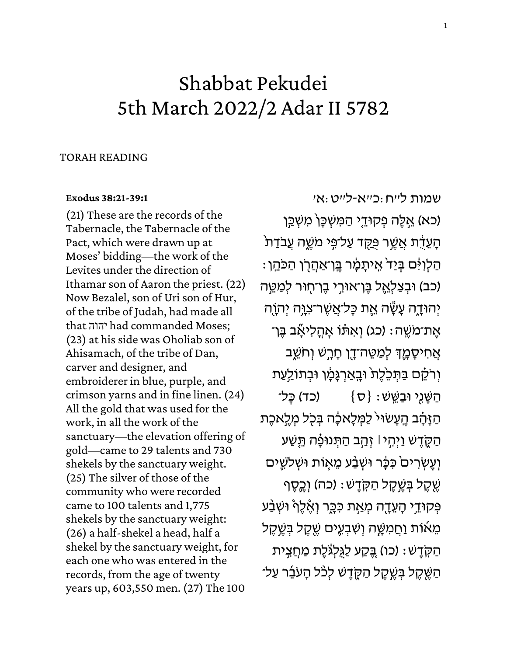# Shabbat Pekudei 5th March 2022/2 Adar II 5782

## TORAH READING

### **[Exodus 38:21-39:1](https://www.sefaria.org/Exodus.38.21-39.1)**

(21) These are the records of the Tabernacle, the Tabernacle of the Pact, which were drawn up at Moses' bidding—the work of the Levites under the direction of Ithamar son of Aaron the priest. (22) Now Bezalel, son of Uri son of Hur, of the tribe of Judah, had made all that יהוה had commanded Moses; (23) at his side was Oholiab son of Ahisamach, of the tribe of Dan, carver and designer, and embroiderer in blue, purple, and crimson yarns and in fine linen. (24) All the gold that was used for the work, in all the work of the sanctuary—the elevation offering of gold—came to 29 talents and 730 shekels by the sanctuary weight. (25) The silver of those of the community who were recorded came to 100 talents and 1,775 shekels by the sanctuary weight: (26) a half-shekel a head, half a shekel by the sanctuary weight, for each one who was entered in the records, from the age of twenty years up, 603,550 men. (27) The 100

[שמות](https://www.sefaria.org/Exodus.38.21-39.1) ל״ח:כ״א-ל״ט:א׳ (כא) אֵלֶּה פְקוּדֵי הַמִּשְׁכָּן*` מִ*שְׁכַּן ֿ הָעֵדָת אֲשֶׁר פַּקֶד עַל־פִּי מֹשֱה עֲבֹדַת ָהַלְוִ<sup>ּ</sup>ּהַ בְּיַד אֱיתָמָ֫ו בֵּן־אַהַרְן הַכּהֵן (כב) וּבִצַלְאֱל בֵּן־אוּרֵי בֵן־חָוּר לִמַטֵּה יְהוּדָָה עָשֶׂׂה אֱת כָּל־אֲשֶׁר־צְוֶּה יְהוָה ּ אֱת־מֹשֱה: (כג) וְאִתּׁו אָהֲלִיאָٗב בֵּן־ ּאֲחִיסָמֶֽךָּ לְמַטֵּה־דֶן חָרָשׁ וְחֹשֵׁב וְרֹקֶם בַּתִּכֵּלֶת וּבָאַרְגָּמָן וּבִתוֹלַעַת ּהַשֵּׁנֵי וּבַשֵּׁשׁ: {ס} (כד) כֵּל־ הַ זָּהָ֫ב הֱעָשׂוּי לַמְּלָאכָ֫ה בְּכִל מְלֵאכֵת ּהַקֶּדֶשׁ וַיִּהֶי ּ׀ זְהַב הַתִּנוּפָ֫ה תֵּשַׁע וְעֵשְׂרִים**´ כִּכֶּר וּשְׁבַ**ע מֵאָוֹת וּשְׁלֹשֵׁים שֶׁקֶל בְּשֶׁקֶל הַקְּדֶשׁ: (כה) וְכֶפֶף פְּקוּדֵי הָעֵדֶה מְאַת כִּבֶּר וְאֶ<del>ׂ</del>לֶףْ וּשְׁבַּע מֵאוֹת וַחֲמִשֶּׁה וְשִׁבְעֵים שֵׁקֵל בְּשֵׁקֵל הַקְּדֵשׁ: (כו) בֵּקַע לַגְּלְגֹּלֵת מַחֲצִית הַשֶּׁקֵל בְּשֵׁקֶל הַקֶּדֶשׁ לְכֹּל הָעֹבֶר עַל־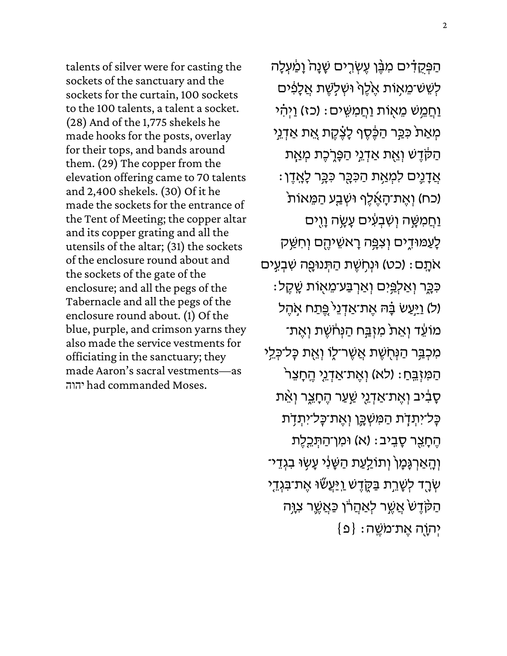talents of silver were for casting the sockets of the sanctuary and the sockets for the curtain, 100 sockets to the 100 talents, a talent a socket. (28) And of the 1,775 shekels he made hooks for the posts, overlay for their tops, and bands around them. (29) The copper from the elevation offering came to 70 talents and 2,400 shekels. (30) Of it he made the sockets for the entrance of the Tent of Meeting; the copper altar and its copper grating and all the utensils of the altar; (31) the sockets of the enclosure round about and the sockets of the gate of the enclosure; and all the pegs of the Tabernacle and all the pegs of the enclosure round about. (1) Of the blue, purple, and crimson yarns they also made the service vestments for officiating in the sanctuary; they made Aaron's sacral vestments—as יהוה had commanded Moses.

הַפְּקֻדָּ֫ים מִבֶּ֫ן עֶשְׂרֶים שָׁנָה וָמַ֫עְלָה לְשֵׁשׁ־מֵאָוֹת אֶלֶּךְ וּשְׁלְשֶׁת אֲלָפִִּים וַחֲמֵשׁ מֵאָוֹת וַחֲמִשֶּׁים: (כז) וַיְהִי מְאַת כִּבַּר הַכֶֶּּטֶף לָצֶּקֶת אֱת אַדְנֵי הַקֹּדֶשׁ וְאֶת אַדְגֵי הַפָּרֶכֶת מְאַת ּ אֲדָגֶים לִמְאַת הַכִּבֶּר כִּבְּר לְאָדֶן (כח) וְאֶת־הָאֶ֫לֶף וּשְׁבַע הַמֵּאוֹת וַחֲמִשֶּׁה וְשִׁבְעִ**ים עָשֶ**ׂה וָוֶים לָעַמּוּדֶים וְצִפָּה רָאשֵׁיהֶם וְחִשַּּ ק אֹתָם: (כט) וּנְחָשֶׁת הַתְּנוּפֵה שִׁבְעִים ּכִּבֶּר וְאַלְפָּיִם וְאַרְבַּע־מֵאָוֹת שֶׁקֶל: (ל) וַיַּעַשׂ בָּ֫הּ אֶת־אַדְנֵי פֶּתַח אָהֶל מוֹעֵד וְאֵת מִזְבַּח הַנְּחֹשֶׁת וְאֶת־ ַמְּכְבָּ֣ר הַנְּחָשֶׁת אֲשֶׁר־לֶוֹ וְאֶת כָּל־כְּלֵי ֿהַמִּיְבֵּחַ: (לא) וְאֶת־אַדְנֵי הֶחָצֵר ּסָבִיב וְאֶת־אַדְנֵי שַׁעַר הֶחָצֶר וְאֵ<del>´</del>ת כְּל־יִתְדָׂת הַמִּשְׁכֶּוְ וְאֶת־כְּל־יִתְדָת הֶתָצֵר סָבִיב: (א) וּמִן־הַתְּכֵלֶת וְהָאַרְגָּמָ<sup>ן</sup> וְתוֹלַעַת הַשָּׁנִי עָשָׂוּ בִגְדֵי־ שְׂרֶד לְשָׁרֵת בַּקֶ**ׂדֶשׁ <u>וַ</u>יַּעֲשׂוּ אֶת־בִּגְדֵי** הַקָּדֶשׁ אֲשֶׁר לְאַהֲרוֹ כַּאֲשֶֶר צִוָּה  $\{ \mathfrak{\Omega} \} :$ יְהוָה אֱת־מֹשֱה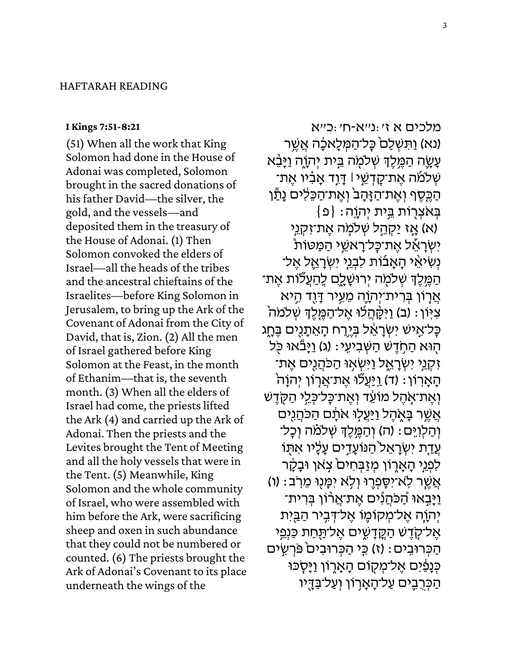## HAFTARAH READING

#### **[I Kings 7:51-8:21](https://www.sefaria.org/I_Kings.7.51-8.21)**

(51) When all the work that King Solomon had done in the House of Adonai was completed, Solomon brought in the sacred donations of his father David—the silver, the gold, and the vessels—and deposited them in the treasury of the House of Adonai. (1) Then Solomon convoked the elders of Israel—all the heads of the tribes and the ancestral chieftains of the Israelites—before King Solomon in Jerusalem, to bring up the Ark of the Covenant of Adonai from the City of David, that is, Zion. (2) All the men of Israel gathered before King Solomon at the Feast, in the month of Ethanim—that is, the seventh month. (3) When all the elders of Israel had come, the priests lifted the Ark (4) and carried up the Ark of Adonai. Then the priests and the Levites brought the Tent of Meeting and all the holy vessels that were in the Tent. (5) Meanwhile, King Solomon and the whole community of Israel, who were assembled with him before the Ark, were sacrificing sheep and oxen in such abundance that they could not be numbered or counted. (6) The priests brought the Ark of Adonai's Covenant to its place underneath the wings of the

[מלכים](https://www.sefaria.org/I_Kings.7.51-8.21) [א](https://www.sefaria.org/I_Kings.7.51-8.21) [ז׳:נ״א-ח ׳:כ״א](https://www.sefaria.org/I_Kings.7.51-8.21) (נא) וַתְּשָׁלַם כָּל־הַמְּלָאכָָה אֲשֱר עָשֶׂה הַמֵּלֵךְ שְׁלֹמָה בֵּית יְהוֶה וַיָּבֵּא ֿשְׁ לֹמֹה אֶת־קָדְשֵׁי ּا דָּוֶד אָבָ֫יו אֵת־ הַכֶּסֶף וְאֶת־הַזָּהָב<sup>ּ</sup> וְאֵת־הַכָּלִים נָ<u>ּת</u>ֹן  $\{ \mathfrak{o} \} :$ בְּאׂצְרְוֹת בֵּית יְהוֵה אַז <u>יַקְהָ</u>ל שְׁלמָה אֶת־זִקְנֵי) יִּשְׁרַאֵל אֶת־כַּל־רַאשֱי הַמַּטּות נִשְׁיאֵי הָאֲבוֹת לִבְנֵי יִשְׂרָאֱל אֵל־ ֿ הַמֶּלֵךְ שְׁלֹמְה יְרוּשָׁלֶם לְהַעֲלֹוֹת אֶת־ אֲרָוֹן בְּרִית־יִהְוֵה מֶעֵיר <u>דְּו</u>ִד הֵיא ' צִיּוֹן: (ב) וַיִּקָּהֲלֹוּ אֱל־הַמֱלֵךְ שְׁלֹמֹה כַּל־אֵישׁ יִשְׂרַאֵ֫ל בָּיֶרַח הָאֵתָנֻיִּם בֶּחֶג הָוּא הַחְדֵשׁ הַשְּׁבִיעֵי: (ג) וַיָּבֹּאוּ כִּל ֿזְקָנֵי יִשְׂרָאֱל וַיִּשְׂאִוּ הַכֹּהֲנִים אֶת־ הָאָרְוֹן: (ד) <u>וַיַּעֲ</u>לֶוּ אֶת־אֲרָוֹן יִהוָה וְאֶת־אָהֶל מוֹעֶד וְאֱת־כַּל־כָּלֵי הַקָּדֶשׁ אֲשֶׁר בַּאָהֶל וַיַּעֲלִוּ אֹתַם הַכֹּהֲנִים וְהַלְוְיָּם: (ה) וְהַמֵּ֣לֵ֣דְ שְׁלֹמֹׁה וְכָל־ עֲדַת יִשְׂרָאֱל<sup>י</sup>הַנּוֹעָדֵים עַלָּיו אִתְּוֹ לִפְנֵי הָאָרֶוֹן מִזַבְּחִים צְאוָ וּבָקָר ֿאֲשֶׁר לְאֹ־יִסֵפְרֵוּ וְלָא יִמַּנוּ מֵרְב: (ו) וַיָּבְאוּ הַכֹּהֲנִים אֶת־אֲרוֹן בְּרִית־ יְהוֵה אֱל־מִקוֹמֵו אֱל־דְּבֵיר הַבֵּיִת אֱל־קֶדֵשׁ הַקֱדָשֶׁים אֱל־תַּחַת כַּנְפֵי הַכְּרוּבִים: (ז) כֵּי הַכְּרוּבִיםׂ פּרִשְׂים כְּנָפַּיִם אֱל־מְקָוֹם הָאֲרָוֹן וַיַּסְכּוּ הַכְּרֶבֵים עַל־הָאָרְוֹן וְעַל־בַּדֶיו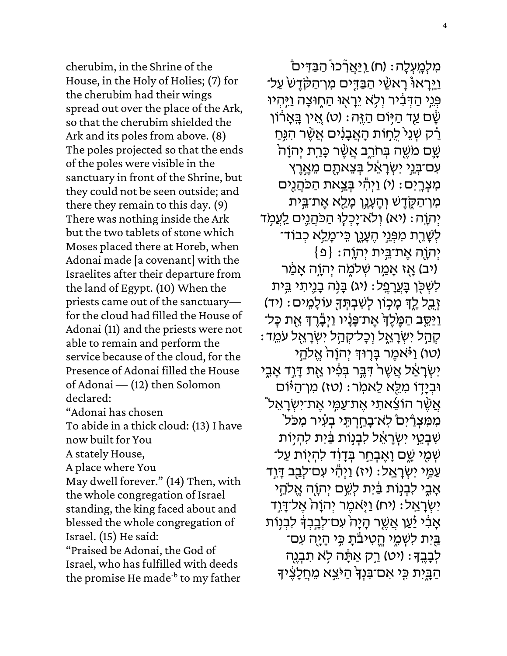cherubim, in the Shrine of the House, in the Holy of Holies; (7) for the cherubim had their wings spread out over the place of the Ark, so that the cherubim shielded the Ark and its poles from above. (8) The poles projected so that the ends of the poles were visible in the sanctuary in front of the Shrine, but they could not be seen outside; and there they remain to this day. (9) There was nothing inside the Ark but the two tablets of stone which Moses placed there at Horeb, when Adonai made [a covenant] with the Israelites after their departure from the land of Egypt. (10) When the priests came out of the sanctuary for the cloud had filled the House of Adonai (11) and the priests were not able to remain and perform the service because of the cloud, for the Presence of Adonai filled the House of Adonai — (12) then Solomon declared: "Adonai has chosen To abide in a thick cloud: (13) I have

now built for You

A stately House,

A place where You

May dwell forever." (14) Then, with the whole congregation of Israel standing, the king faced about and blessed the whole congregation of Israel. (15) He said:

"Praised be Adonai, the God of Israel, who has fulfilled with deeds the promise He made<sup>-b</sup> to my father

מִלְמֶעְלָה: (ח) <u>וְיַּאֲ</u>רְּכוּ הַבַּדִּים וַיֵּרַאוּ۟ רַאשֶׁי הַבַּדִּים מִו־הַקָּדָשׁ עַל־ ְפְּנֵי הַדְּבִיר וְלָא יֵרַאִוּ הַחִוּצַה וַיֵּהִיוּ שָּׁם <u>עַד הַיָּ</u>ּוֹם הַזֶּה: (ט) אֱין בָּאָרוֹן רַּק שְׁנֵי לַחְוֹת הָאֲבָנִים אֲשֶׁר הִנֶּחַ ְשֵׁם מֹשֵׁה בְּחֹרֶב אֲשֶׁר כָּרַת יְהוָה ּעְם־בְּנֵי יִשְׂרָאֵל בִּצֵאתָם מֵאֱרֶץ מִצְרָיִם: (י) וַיְהְי בְּצֵאת הַכֹּהֲנִים מִן־הַקֶּדֶשׁ וְהֶעָ*ּ*ָוְן מָלֵא אֶת־בֵּית יְהְוֵה׃ (יא) וְלֹא־יַכְלִוּ הַכֹּהֲנֵים לֵעֲמְד ּלְשָׁרֵת מִפְּנֵי הֵעֲנֵן כֵּי־מָלֵא כְבוֹד־  $\{ \mathfrak{o} \} :$ יְהוָה אֱת־בֵּית יִהוֶה $\{ \mathfrak{o} \}$ יב) אָז אָמֵר שְׁלֹמֶה יְהוָה אָמַר) לִשְׁכָּן בָּעֲרָפֵל: (יג) בָּנָה בָנֵיתִי בֵּית זְבֵל לָדְ מָכְוֹן לְשִׁבְתְּךָ עוֹלָמְים: (יד) וַיַּסֵב הַמֶּׂלֶךְ אֶת־פָּנַיו וַיִּבְרֵךְ אֶת כַּל־ ּ קְהָל יִשְׂרָאֱל וְכָל־קְהֵל יִשְׂרָאֱל עֹמֵֽד (טו) וַיֹּאמֶר בָּרְוּדְּ יְהוַהֹ אֱלֹהֵי יִשְׂרָאֵל אֲשֶׁר דָּבֵּ֣ר בִּפְ֫יו אֶת דָּוֶד אָבֶי וּבְיַדָּוֹ מִלֵּא לֵאמִר: (טז) מִו־הַיּוֹּם ֿאֲשֶׁר הוֹצֵאתִי אֶת־עַמְּי אֶת־יִשְׂרָאֵל ֿ ְמִמְּצְרַיִּם לְא־בָחֲרִתֶּי בִעָּיר מִכֹּל שִׁבְטֵי יִשְׂרָאֵל לִבְנִוֹּת בַּ֫יִת לְהִיּוֹת ּשְׁמֶי שֶׁם וָאֶבְחַר בְּדָוִד לִהְיָוֹת עַל־ עַמֶּי יִשְׂרָאֱל: (יז) וַיְהְי עִם־לְבַב דָּוְד אַבֵּי לִבְנִוֹּת בַּ֫יִּת לְשֵׁם יִהְוַה אֱלֹהֵי יִשְׁרָאֱל: (יִח) וַיָּאמֶר יִהוָה אֱל־דָּוֶד אָבִ֫י יַּעַן אֲשֵׁר הָיָה ׁעִם־לְבָבִדְ לִבְנִוֹת ַבְּיָת לִשְׁמֵי הֱטִיבֹּתַ כֵּי הַיַּה עִם־ ֹּלְבָּבֶךָּ׃ (יט) רֵק אַתַּׂה לֹא תִבְנֶה ּהַבְּיִת כִּי אִס־בִּנְדְּ הַיֹּצֵא מֶחֲלַצֶּיד